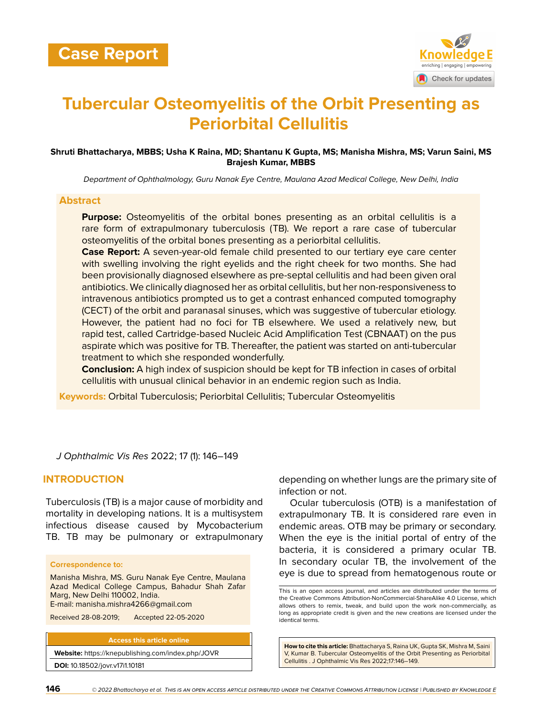

# **Tubercular Osteomyelitis of the Orbit Presenting as Periorbital Cellulitis**

## **Shruti Bhattacharya, MBBS; Usha K Raina, MD; Shantanu K Gupta, MS; Manisha Mishra, MS; Varun Saini, MS Brajesh Kumar, MBBS**

*Department of Ophthalmology, Guru Nanak Eye Centre, Maulana Azad Medical College, New Delhi, India*

#### **Abstract**

**Purpose:** Osteomyelitis of the orbital bones presenting as an orbital cellulitis is a rare form of extrapulmonary tuberculosis (TB). We report a rare case of tubercular osteomyelitis of the orbital bones presenting as a periorbital cellulitis.

**Case Report:** A seven-year-old female child presented to our tertiary eye care center with swelling involving the right eyelids and the right cheek for two months. She had been provisionally diagnosed elsewhere as pre-septal cellulitis and had been given oral antibiotics. We clinically diagnosed her as orbital cellulitis, but her non-responsiveness to intravenous antibiotics prompted us to get a contrast enhanced computed tomography (CECT) of the orbit and paranasal sinuses, which was suggestive of tubercular etiology. However, the patient had no foci for TB elsewhere. We used a relatively new, but rapid test, called Cartridge-based Nucleic Acid Amplification Test (CBNAAT) on the pus aspirate which was positive for TB. Thereafter, the patient was started on anti-tubercular treatment to which she responded wonderfully.

**Conclusion:** A high index of suspicion should be kept for TB infection in cases of orbital cellulitis with unusual clinical behavior in an endemic region such as India.

**Keywords:** Orbital Tuberculosis; Periorbital Cellulitis; Tubercular Osteomyelitis

*J Ophthalmic Vis Res* 2022; 17 (1): 146–149

## **INTRODUCTION**

Tuberculosis (TB) is a major cause of morbidity and mortality in developing nations. It is a multisystem infectious disease caused by Mycobacterium TB. TB may be pulmonary or extrapulmonary

#### **Correspondence to:**

Manisha Mishra, MS. Guru Nanak Eye Centre, Maulana Azad Medical College Campus, Bahadur Shah Zafar Marg, New Delhi 110002, India. E-mail: manisha.mishra4266@gmail.com

Received 28-08-2019; Accepted 22-05-2020

**Access this article online**

**Website:** <https://knepublishing.com/index.php/JOVR> **DOI:** 10.18502/jovr.v17i1.10181

depending on whether lungs are the primary site of infection or not.

Ocular tuberculosis (OTB) is a manifestation of extrapulmonary TB. It is considered rare even in endemic areas. OTB may be primary or secondary. When the eye is the initial portal of entry of the bacteria, it is considered a primary ocular TB. In secondary ocular TB, the involvement of the eye is due to spread from hematogenous route or

**How to cite this article:** Bhattacharya S, Raina UK, Gupta SK, Mishra M, Saini V, Kumar B. Tubercular Osteomyelitis of the Orbit Presenting as Periorbital Cellulitis . J Ophthalmic Vis Res 2022;17:146–149.

This is an open access journal, and articles are distributed under the terms of the Creative Commons Attribution-NonCommercial-ShareAlike 4.0 License, which allows others to remix, tweak, and build upon the work non-commercially, as long as appropriate credit is given and the new creations are licensed under the identical terms.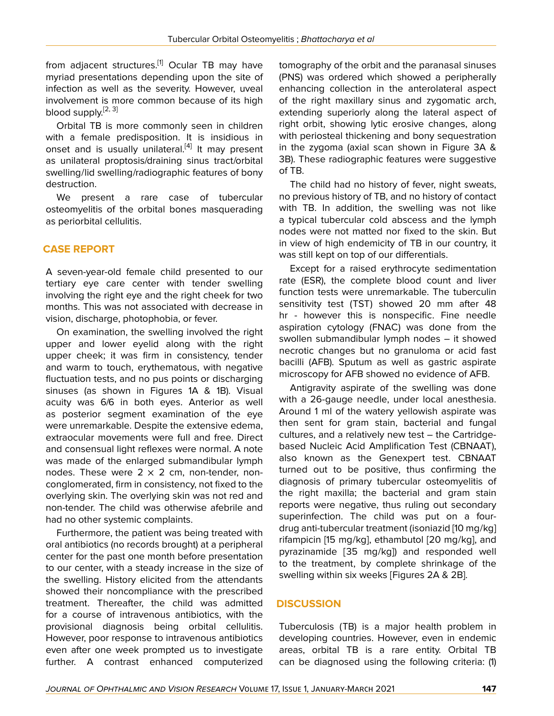from adjacent structures.<sup>[[1\]](#page-3-0)</sup> Ocular TB may have myriad presentations depending upon the site of infection as well as the severity. However, uveal involvement is more common because of its high blood supply.<sup>[[2](#page-3-1), [3](#page-3-2)]</sup>

Orbital TB is more commonly seen in children with a female predisposition. It is insidious in onset and is usually unilateral.<sup>[[4](#page-3-3)]</sup> It may present as unilateral proptosis/draining sinus tract/orbital swelling/lid swelling/radiographic features of bony destruction.

We present a rare case of tubercular osteomyelitis of the orbital bones masquerading as periorbital cellulitis.

# **CASE REPORT**

A seven-year-old female child presented to our tertiary eye care center with tender swelling involving the right eye and the right cheek for two months. This was not associated with decrease in vision, discharge, photophobia, or fever.

On examination, the swelling involved the right upper and lower eyelid along with the right upper cheek; it was firm in consistency, tender and warm to touch, erythematous, with negative fluctuation tests, and no pus points or discharging sinuses (as shown in Figures 1A & 1B). Visual acuity was 6/6 in both eyes. Anterior as well as posterior segment examination of the eye were unremarkable. Despite the extensive edema, extraocular movements were full and free. Direct and consensual light reflexes were normal. A note was made of the enlarged submandibular lymph nodes. These were  $2 \times 2$  cm, non-tender, nonconglomerated, firm in consistency, not fixed to the overlying skin. The overlying skin was not red and non-tender. The child was otherwise afebrile and had no other systemic complaints.

Furthermore, the patient was being treated with oral antibiotics (no records brought) at a peripheral center for the past one month before presentation to our center, with a steady increase in the size of the swelling. History elicited from the attendants showed their noncompliance with the prescribed treatment. Thereafter, the child was admitted for a course of intravenous antibiotics, with the provisional diagnosis being orbital cellulitis. However, poor response to intravenous antibiotics even after one week prompted us to investigate further. A contrast enhanced computerized

tomography of the orbit and the paranasal sinuses (PNS) was ordered which showed a peripherally enhancing collection in the anterolateral aspect of the right maxillary sinus and zygomatic arch, extending superiorly along the lateral aspect of right orbit, showing lytic erosive changes, along with periosteal thickening and bony sequestration in the zygoma (axial scan shown in Figure 3A & 3B). These radiographic features were suggestive of TB.

The child had no history of fever, night sweats, no previous history of TB, and no history of contact with TB. In addition, the swelling was not like a typical tubercular cold abscess and the lymph nodes were not matted nor fixed to the skin. But in view of high endemicity of TB in our country, it was still kept on top of our differentials.

Except for a raised erythrocyte sedimentation rate (ESR), the complete blood count and liver function tests were unremarkable. The tuberculin sensitivity test (TST) showed 20 mm after 48 hr - however this is nonspecific. Fine needle aspiration cytology (FNAC) was done from the swollen submandibular lymph nodes – it showed necrotic changes but no granuloma or acid fast bacilli (AFB). Sputum as well as gastric aspirate microscopy for AFB showed no evidence of AFB.

Antigravity aspirate of the swelling was done with a 26-gauge needle, under local anesthesia. Around 1 ml of the watery yellowish aspirate was then sent for gram stain, bacterial and fungal cultures, and a relatively new test – the Cartridgebased Nucleic Acid Amplification Test (CBNAAT), also known as the Genexpert test. CBNAAT turned out to be positive, thus confirming the diagnosis of primary tubercular osteomyelitis of the right maxilla; the bacterial and gram stain reports were negative, thus ruling out secondary superinfection. The child was put on a fourdrug anti-tubercular treatment (isoniazid [10 mg/kg] rifampicin [15 mg/kg], ethambutol [20 mg/kg], and pyrazinamide [35 mg/kg]) and responded well to the treatment, by complete shrinkage of the swelling within six weeks [Figures 2A & 2B].

# **DISCUSSION**

Tuberculosis (TB) is a major health problem in developing countries. However, even in endemic areas, orbital TB is a rare entity. Orbital TB can be diagnosed using the following criteria: (1)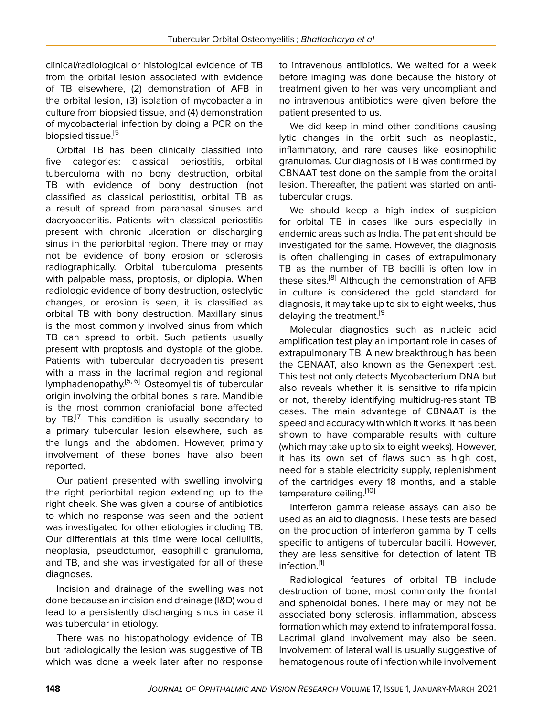clinical/radiological or histological evidence of TB from the orbital lesion associated with evidence of TB elsewhere, (2) demonstration of AFB in the orbital lesion, (3) isolation of mycobacteria in culture from biopsied tissue, and (4) demonstration of mycobacterial infection by doing a PCR on the biopsied tissue.<sup>[\[5\]](#page-3-4)</sup>

Orbital TB has been clinically classified into five categories: classical periostitis, orbital tuberculoma with no bony destruction, orbital TB with evidence of bony destruction (not classified as classical periostitis), orbital TB as a result of spread from paranasal sinuses and dacryoadenitis. Patients with classical periostitis present with chronic ulceration or discharging sinus in the periorbital region. There may or may not be evidence of bony erosion or sclerosis radiographically. Orbital tuberculoma presents with palpable mass, proptosis, or diplopia. When radiologic evidence of bony destruction, osteolytic changes, or erosion is seen, it is classified as orbital TB with bony destruction. Maxillary sinus is the most commonly involved sinus from which TB can spread to orbit. Such patients usually present with proptosis and dystopia of the globe. Patients with tubercular dacryoadenitis present with a mass in the lacrimal region and regional lymphadenopathy.[\[5,](#page-3-4) [6\]](#page-3-5) Osteomyelitis of tubercular origin involving the orbital bones is rare. Mandible is the most common craniofacial bone affected by TB.<sup>[\[7](#page-3-6)]</sup> This condition is usually secondary to a primary tubercular lesion elsewhere, such as the lungs and the abdomen. However, primary involvement of these bones have also been reported.

Our patient presented with swelling involving the right periorbital region extending up to the right cheek. She was given a course of antibiotics to which no response was seen and the patient was investigated for other etiologies including TB. Our differentials at this time were local cellulitis, neoplasia, pseudotumor, easophillic granuloma, and TB, and she was investigated for all of these diagnoses.

Incision and drainage of the swelling was not done because an incision and drainage (I&D) would lead to a persistently discharging sinus in case it was tubercular in etiology.

There was no histopathology evidence of TB but radiologically the lesion was suggestive of TB which was done a week later after no response

to intravenous antibiotics. We waited for a week before imaging was done because the history of treatment given to her was very uncompliant and no intravenous antibiotics were given before the patient presented to us.

We did keep in mind other conditions causing lytic changes in the orbit such as neoplastic, inflammatory, and rare causes like eosinophilic granulomas. Our diagnosis of TB was confirmed by CBNAAT test done on the sample from the orbital lesion. Thereafter, the patient was started on antitubercular drugs.

We should keep a high index of suspicion for orbital TB in cases like ours especially in endemic areas such as India. The patient should be investigated for the same. However, the diagnosis is often challenging in cases of extrapulmonary TB as the number of TB bacilli is often low in these sites.<sup>[\[8\]](#page-3-7)</sup> Although the demonstration of AFB in culture is considered the gold standard for diagnosis, it may take up to six to eight weeks, thus delaying the treatment.<sup>[\[9\]](#page-3-8)</sup>

Molecular diagnostics such as nucleic acid amplification test play an important role in cases of extrapulmonary TB. A new breakthrough has been the CBNAAT, also known as the Genexpert test. This test not only detects Mycobacterium DNA but also reveals whether it is sensitive to rifampicin or not, thereby identifying multidrug-resistant TB cases. The main advantage of CBNAAT is the speed and accuracy with which it works. It has been shown to have comparable results with culture (which may take up to six to eight weeks). However, it has its own set of flaws such as high cost, need for a stable electricity supply, replenishment of the cartridges every 18 months, and a stable temperature ceiling.[[10\]](#page-3-9)

Interferon gamma release assays can also be used as an aid to diagnosis. These tests are based on the production of interferon gamma by T cells specific to antigens of tubercular bacilli. However, they are less sensitive for detection of latent TB infection.<sup>[[1\]](#page-3-0)</sup>

Radiological features of orbital TB include destruction of bone, most commonly the frontal and sphenoidal bones. There may or may not be associated bony sclerosis, inflammation, abscess formation which may extend to infratemporal fossa. Lacrimal gland involvement may also be seen. Involvement of lateral wall is usually suggestive of hematogenous route of infection while involvement